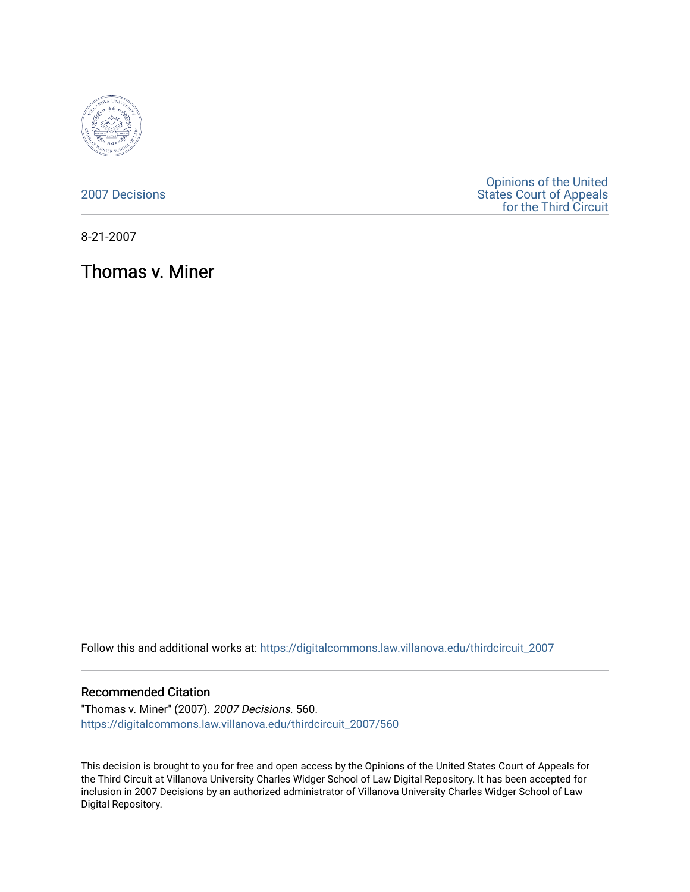

[2007 Decisions](https://digitalcommons.law.villanova.edu/thirdcircuit_2007)

[Opinions of the United](https://digitalcommons.law.villanova.edu/thirdcircuit)  [States Court of Appeals](https://digitalcommons.law.villanova.edu/thirdcircuit)  [for the Third Circuit](https://digitalcommons.law.villanova.edu/thirdcircuit) 

8-21-2007

Thomas v. Miner

Follow this and additional works at: [https://digitalcommons.law.villanova.edu/thirdcircuit\\_2007](https://digitalcommons.law.villanova.edu/thirdcircuit_2007?utm_source=digitalcommons.law.villanova.edu%2Fthirdcircuit_2007%2F560&utm_medium=PDF&utm_campaign=PDFCoverPages) 

### Recommended Citation

"Thomas v. Miner" (2007). 2007 Decisions. 560. [https://digitalcommons.law.villanova.edu/thirdcircuit\\_2007/560](https://digitalcommons.law.villanova.edu/thirdcircuit_2007/560?utm_source=digitalcommons.law.villanova.edu%2Fthirdcircuit_2007%2F560&utm_medium=PDF&utm_campaign=PDFCoverPages)

This decision is brought to you for free and open access by the Opinions of the United States Court of Appeals for the Third Circuit at Villanova University Charles Widger School of Law Digital Repository. It has been accepted for inclusion in 2007 Decisions by an authorized administrator of Villanova University Charles Widger School of Law Digital Repository.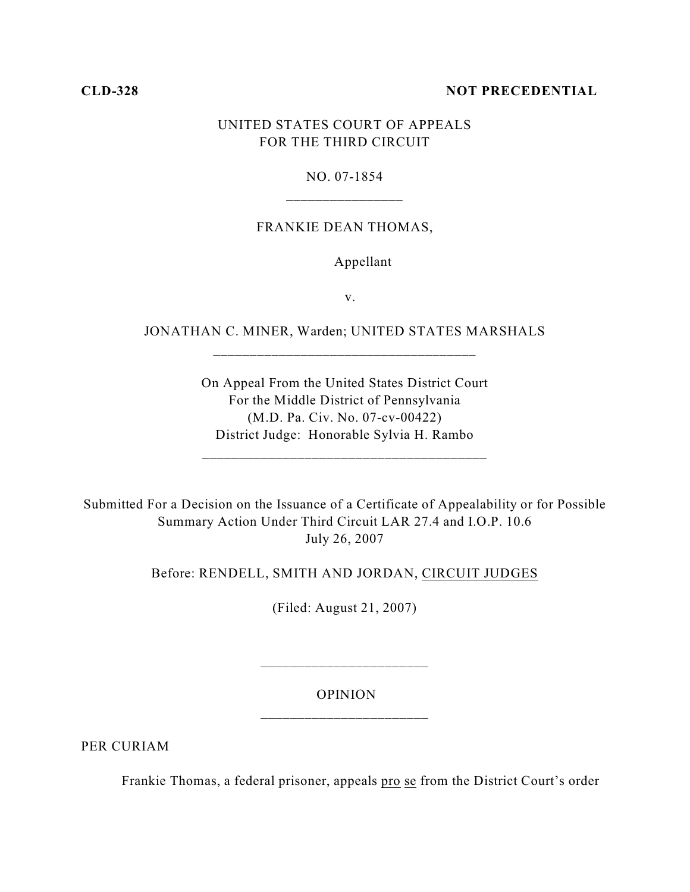## **CLD-328 NOT PRECEDENTIAL**

# UNITED STATES COURT OF APPEALS FOR THE THIRD CIRCUIT

# NO. 07-1854 \_\_\_\_\_\_\_\_\_\_\_\_\_\_\_\_

## FRANKIE DEAN THOMAS,

## Appellant

v.

JONATHAN C. MINER, Warden; UNITED STATES MARSHALS \_\_\_\_\_\_\_\_\_\_\_\_\_\_\_\_\_\_\_\_\_\_\_\_\_\_\_\_\_\_\_\_\_\_\_\_

> On Appeal From the United States District Court For the Middle District of Pennsylvania (M.D. Pa. Civ. No. 07-cv-00422) District Judge: Honorable Sylvia H. Rambo

Submitted For a Decision on the Issuance of a Certificate of Appealability or for Possible Summary Action Under Third Circuit LAR 27.4 and I.O.P. 10.6 July 26, 2007

Before: RENDELL, SMITH AND JORDAN, CIRCUIT JUDGES

(Filed: August 21, 2007)

 OPINION \_\_\_\_\_\_\_\_\_\_\_\_\_\_\_\_\_\_\_\_\_\_\_

\_\_\_\_\_\_\_\_\_\_\_\_\_\_\_\_\_\_\_\_\_\_\_

PER CURIAM

Frankie Thomas, a federal prisoner, appeals pro se from the District Court's order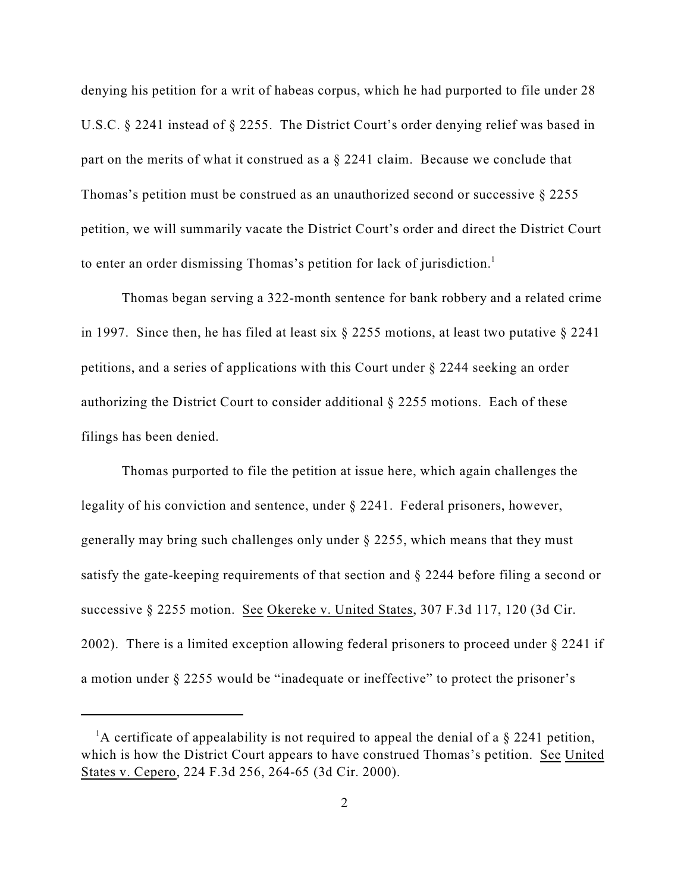denying his petition for a writ of habeas corpus, which he had purported to file under 28 U.S.C. § 2241 instead of § 2255. The District Court's order denying relief was based in part on the merits of what it construed as a § 2241 claim. Because we conclude that Thomas's petition must be construed as an unauthorized second or successive  $\S 2255$ petition, we will summarily vacate the District Court's order and direct the District Court to enter an order dismissing Thomas's petition for lack of jurisdiction.<sup>1</sup>

Thomas began serving a 322-month sentence for bank robbery and a related crime in 1997. Since then, he has filed at least six § 2255 motions, at least two putative § 2241 petitions, and a series of applications with this Court under § 2244 seeking an order authorizing the District Court to consider additional § 2255 motions. Each of these filings has been denied.

Thomas purported to file the petition at issue here, which again challenges the legality of his conviction and sentence, under § 2241. Federal prisoners, however, generally may bring such challenges only under § 2255, which means that they must satisfy the gate-keeping requirements of that section and § 2244 before filing a second or successive § 2255 motion. See Okereke v. United States, 307 F.3d 117, 120 (3d Cir. 2002). There is a limited exception allowing federal prisoners to proceed under § 2241 if a motion under § 2255 would be "inadequate or ineffective" to protect the prisoner's

<sup>&</sup>lt;sup>1</sup>A certificate of appealability is not required to appeal the denial of a  $\S$  2241 petition, which is how the District Court appears to have construed Thomas's petition. See United States v. Cepero, 224 F.3d 256, 264-65 (3d Cir. 2000).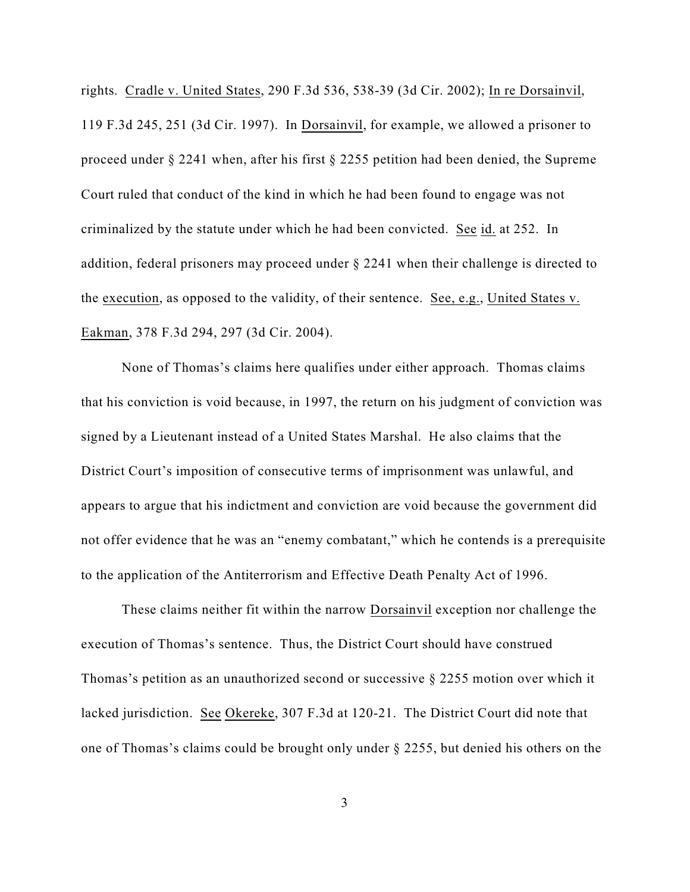rights. Cradle v. United States, 290 F.3d 536, 538-39 (3d Cir. 2002); In re Dorsainvil, 119 F.3d 245, 251 (3d Cir. 1997). In Dorsainvil, for example, we allowed a prisoner to proceed under § 2241 when, after his first § 2255 petition had been denied, the Supreme Court ruled that conduct of the kind in which he had been found to engage was not criminalized by the statute under which he had been convicted. See id. at 252. In addition, federal prisoners may proceed under § 2241 when their challenge is directed to the execution, as opposed to the validity, of their sentence. See, e.g., United States v. Eakman, 378 F.3d 294, 297 (3d Cir. 2004).

None of Thomas's claims here qualifies under either approach. Thomas claims that his conviction is void because, in 1997, the return on his judgment of conviction was signed by a Lieutenant instead of a United States Marshal. He also claims that the District Court's imposition of consecutive terms of imprisonment was unlawful, and appears to argue that his indictment and conviction are void because the government did not offer evidence that he was an "enemy combatant," which he contends is a prerequisite to the application of the Antiterrorism and Effective Death Penalty Act of 1996.

These claims neither fit within the narrow Dorsainvil exception nor challenge the execution of Thomas's sentence. Thus, the District Court should have construed Thomas's petition as an unauthorized second or successive § 2255 motion over which it lacked jurisdiction. See Okereke, 307 F.3d at 120-21. The District Court did note that one of Thomas's claims could be brought only under § 2255, but denied his others on the